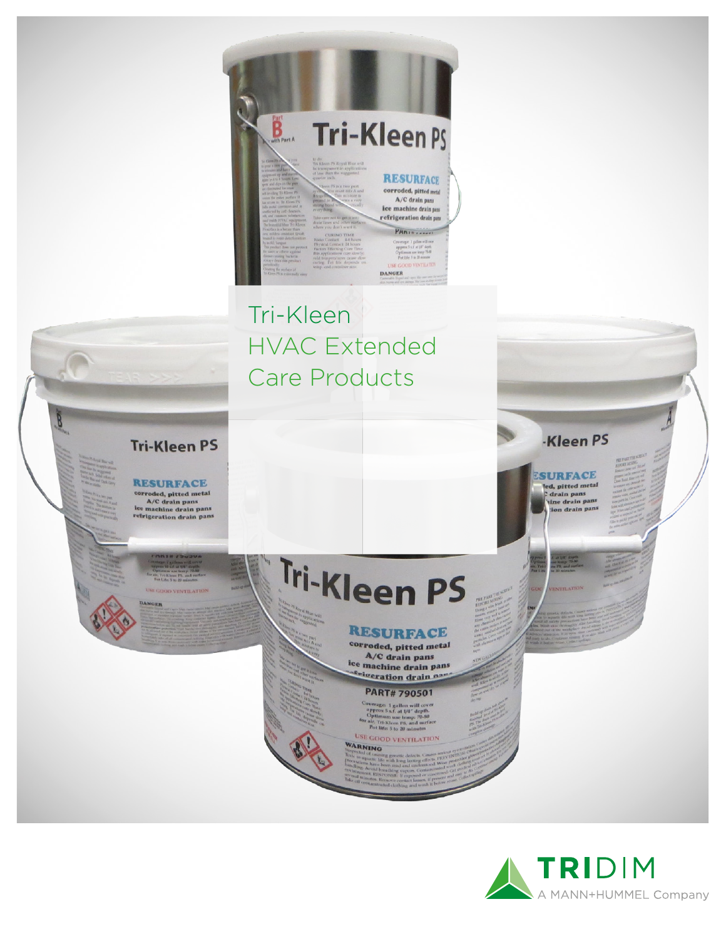

### Tri-Kleen **HVAC Extended Care Products**

**Tri-Kleen PS** 

**RESURFACE** 

corroded, pitted metal<br>A/C drain pans<br>lee machine drain pans<br>refrigeration drain pans

# Tri-Kleen PS

#### **RESURFACE**

corroded, pitted metal A/C drain pans lce machine drain pans s<sub>nigeration</sub> drain nar

**PART#790501** 

Coverage: 1 gallon will cove<br>approx 5 s.f. at 1/4" depth.<br>Optimum use temp: 70-80 Optimum use temp: 7<br>air, Tri-Kleen PS, and 4<br>Pot life: 5 to 20 minut

USE GOOD VENTILATIO VARNING



-Kleen PS

**SURFACE** 

led, pitted metal

drain pans<br>'tine drain pans n deain pan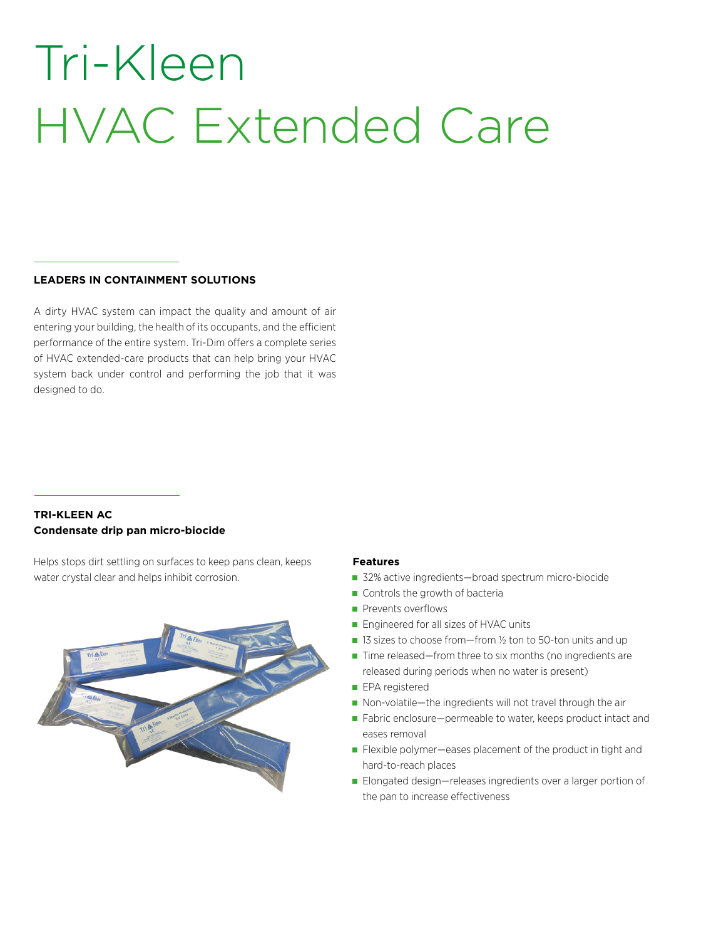## Tri-Kleen HVAC Extended Care

#### **LEADERS IN CONTAINMENT SOLUTIONS**

A dirty HVAC system can impact the quality and amount of air entering your building, the health of its occupants, and the efficient performance of the entire system. Tri-Dim offers a complete series of HVAC extended-care products that can help bring your HVAC system back under control and performing the job that it was designed to do.

#### **TRI-KLEEN AC Condensate drip pan micro-biocide**

Helps stops dirt settling on surfaces to keep pans clean, keeps water crystal clear and helps inhibit corrosion.



#### **Features**

- 32% active ingredients—broad spectrum micro-biocide
- Controls the growth of bacteria
- Prevents overflows
- **Engineered for all sizes of HVAC units**
- $\blacksquare$  13 sizes to choose from—from 1/2 ton to 50-ton units and up
- $\blacksquare$  Time released—from three to six months (no ingredients are released during periods when no water is present)
- **EPA** registered
- Non-volatile—the ingredients will not travel through the air
- Fabric enclosure—permeable to water, keeps product intact and eases removal
- Flexible polymer—eases placement of the product in tight and hard-to-reach places
- Elongated design—releases ingredients over a larger portion of the pan to increase effectiveness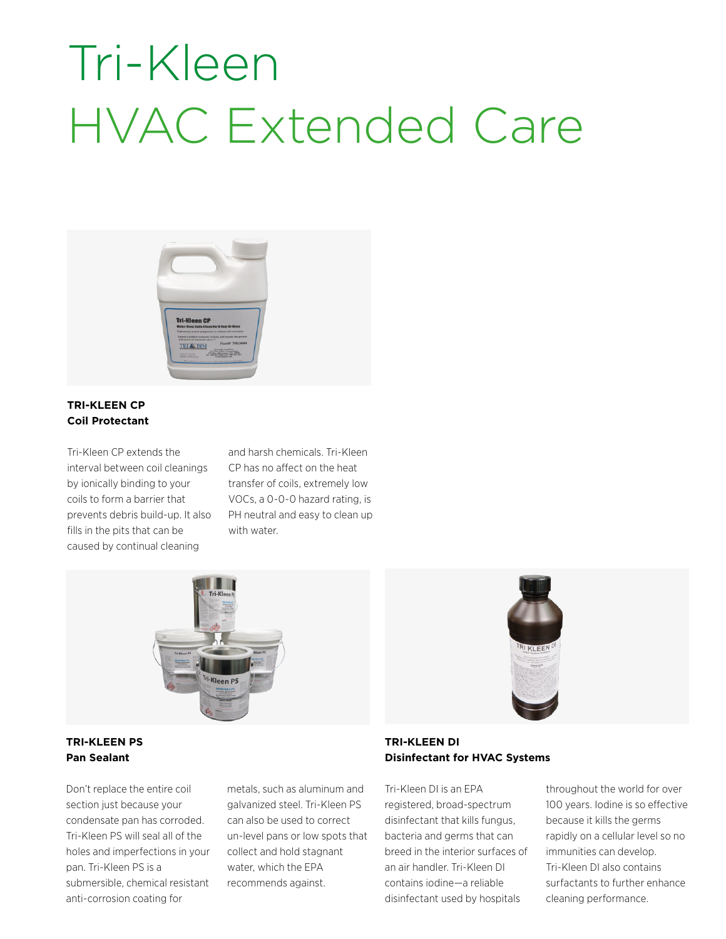### Tri-Kleen HVAC Extended Care



#### **TRI-KLEEN CP Coil Protectant**

Tri-Kleen CP extends the interval between coil cleanings by ionically binding to your coils to form a barrier that prevents debris build-up. It also fills in the pits that can be caused by continual cleaning

and harsh chemicals. Tri-Kleen CP has no affect on the heat transfer of coils, extremely low VOCs, a 0-0-0 hazard rating, is PH neutral and easy to clean up with water.



#### **TRI-KLEEN PS Pan Sealant**

Don't replace the entire coil section just because your condensate pan has corroded. Tri-Kleen PS will seal all of the holes and imperfections in your pan. Tri-Kleen PS is a submersible, chemical resistant anti-corrosion coating for

metals, such as aluminum and galvanized steel. Tri-Kleen PS can also be used to correct un-level pans or low spots that collect and hold stagnant water, which the EPA recommends against.



#### **TRI-KLEEN DI Disinfectant for HVAC Systems**

Tri-Kleen DI is an EPA registered, broad-spectrum disinfectant that kills fungus, bacteria and germs that can breed in the interior surfaces of an air handler. Tri-Kleen DI contains iodine—a reliable disinfectant used by hospitals

throughout the world for over 100 years. Iodine is so effective because it kills the germs rapidly on a cellular level so no immunities can develop. Tri-Kleen DI also contains surfactants to further enhance cleaning performance.